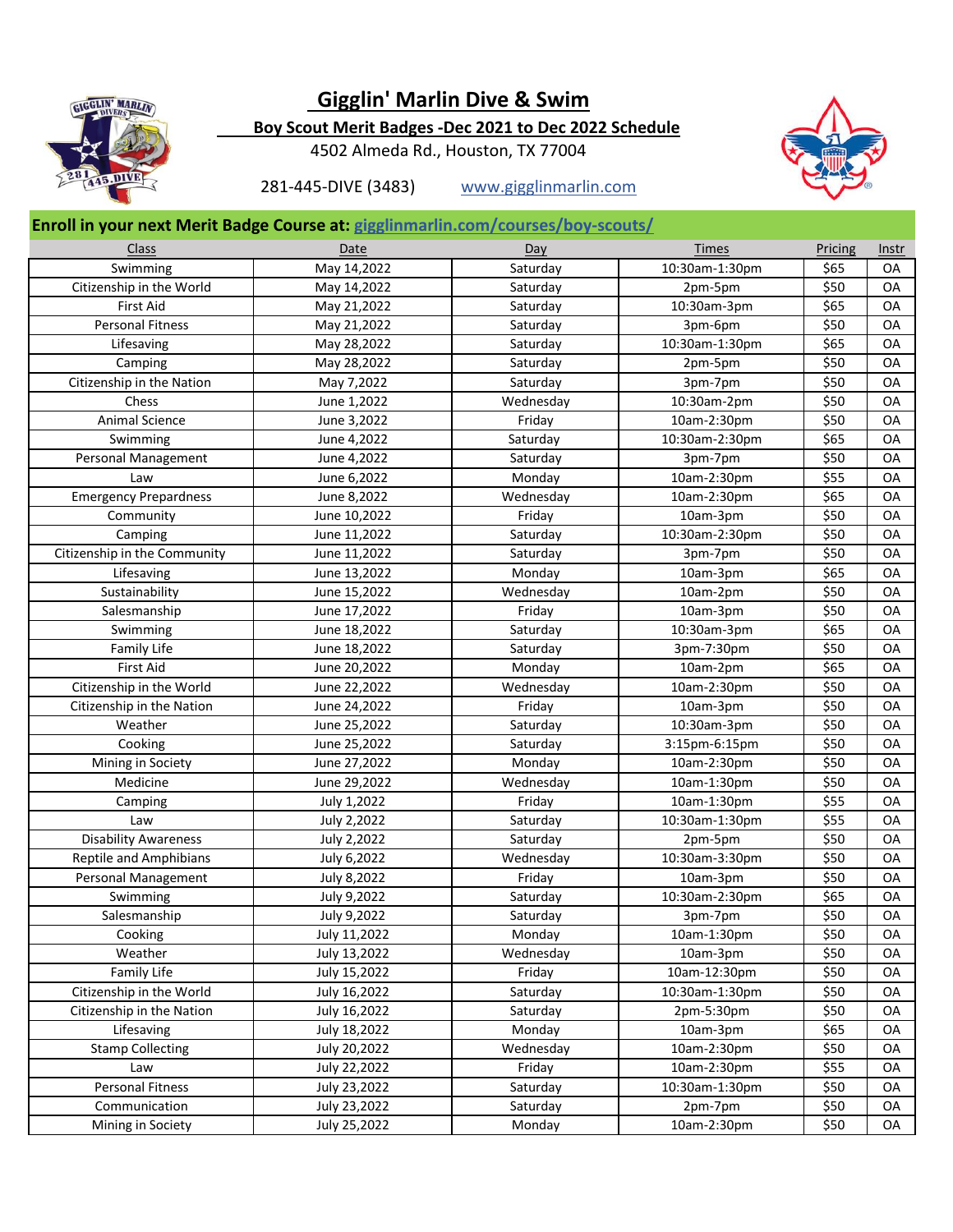

## **Gigglin' Marlin Dive & Swim**

 **Boy Scout Merit Badges -Dec 2021 to Dec 2022 Schedule**

4502 Almeda Rd., Houston, TX 77004



281-445-DIVE (3483) www.gigglinmarlin.com

## **Enroll in your next Merit Badge Course at: gigglinmarlin.com/courses/boy-scouts/**

| Swimming<br>Saturday<br>10:30am-1:30pm<br>May 14,2022<br>\$65<br>OA<br>Citizenship in the World<br>\$50<br>OA<br>May 14,2022<br>Saturday<br>2pm-5pm<br><b>First Aid</b><br>10:30am-3pm<br>\$65<br>OA<br>May 21,2022<br>Saturday<br><b>Personal Fitness</b><br>\$50<br>OA<br>May 21,2022<br>Saturday<br>3pm-6pm<br>\$65<br>OA<br>Lifesaving<br>Saturday<br>10:30am-1:30pm<br>May 28,2022<br>\$50<br>Camping<br>May 28,2022<br>Saturday<br>OA<br>2pm-5pm<br>\$50<br>Citizenship in the Nation<br>Saturday<br>OA<br>May 7,2022<br>3pm-7pm<br>Chess<br>\$50<br>OA<br>June 1,2022<br>Wednesday<br>10:30am-2pm<br>Animal Science<br>\$50<br>OA<br>June 3,2022<br>Friday<br>10am-2:30pm<br>\$65<br>10:30am-2:30pm<br>OA<br>Swimming<br>June 4,2022<br>Saturday<br>June 4,2022<br>Saturday<br>\$50<br>OA<br>Personal Management<br>3pm-7pm<br>\$55<br>Law<br>June 6,2022<br>Monday<br>10am-2:30pm<br>OA<br>\$65<br><b>Emergency Prepardness</b><br>June 8,2022<br>Wednesday<br>10am-2:30pm<br>OA<br>\$50<br>Community<br>June 10,2022<br>Friday<br>OA<br>10am-3pm<br>\$50<br>Camping<br>June 11,2022<br>Saturday<br>10:30am-2:30pm<br>OA<br>\$50<br>Citizenship in the Community<br>June 11,2022<br>Saturday<br>OA<br>3pm-7pm<br>\$65<br>Lifesaving<br>Monday<br>OA<br>June 13,2022<br>10am-3pm<br>\$50<br>Sustainability<br>June 15,2022<br>Wednesday<br>OA<br>10am-2pm<br>\$50<br>Salesmanship<br>Friday<br>OA<br>June 17,2022<br>10am-3pm<br>\$65<br>OA<br>Swimming<br>June 18,2022<br>Saturday<br>10:30am-3pm<br>\$50<br>OA<br>Family Life<br>June 18,2022<br>Saturday<br>3pm-7:30pm<br>\$65<br><b>First Aid</b><br>June 20,2022<br>Monday<br>10am-2pm<br>OA<br>Citizenship in the World<br>June 22,2022<br>Wednesday<br>10am-2:30pm<br>\$50<br>OA<br>Citizenship in the Nation<br>June 24,2022<br>10am-3pm<br>\$50<br>OA<br>Friday<br>Weather<br>June 25,2022<br>Saturday<br>10:30am-3pm<br>\$50<br>OA<br>Cooking<br>June 25,2022<br>Saturday<br>\$50<br>OA<br>3:15pm-6:15pm<br>\$50<br>OA<br>Mining in Society<br>June 27,2022<br>Monday<br>10am-2:30pm<br>Medicine<br>\$50<br>OA<br>June 29,2022<br>Wednesday<br>10am-1:30pm<br>\$55<br>OA<br>10am-1:30pm<br>Camping<br>July 1,2022<br>Friday<br>\$55<br>OA<br>Law<br>July 2,2022<br>Saturday<br>10:30am-1:30pm<br>\$50<br><b>Disability Awareness</b><br>July 2,2022<br>Saturday<br>OA<br>2pm-5pm<br>\$50<br>Reptile and Amphibians<br>July 6,2022<br>10:30am-3:30pm<br>OA<br>Wednesday<br>Personal Management<br>\$50<br>OA<br>July 8,2022<br>Friday<br>10am-3pm<br>July 9,2022<br>Saturday<br>10:30am-2:30pm<br>\$65<br><b>OA</b><br>Swimming<br>Salesmanship<br>July 9,2022<br>Saturday<br>\$50<br>OA<br>3pm-7pm<br>\$50<br>OA<br>July 11,2022<br>10am-1:30pm<br>Cooking<br>Monday<br>\$50<br>Weather<br>July 13,2022<br>Wednesday<br>10am-3pm<br>OA<br>Family Life<br>July 15,2022<br>Friday<br>10am-12:30pm<br>\$50<br>OA<br>July 16,2022<br>Citizenship in the World<br>Saturday<br>10:30am-1:30pm<br>\$50<br>OA<br>Citizenship in the Nation<br>July 16,2022<br>Saturday<br>2pm-5:30pm<br>\$50<br>OA<br>Lifesaving<br>July 18,2022<br>Monday<br>10am-3pm<br>\$65<br>OA<br><b>Stamp Collecting</b><br>July 20,2022<br>Wednesday<br>10am-2:30pm<br>\$50<br>OA<br>Friday<br>10am-2:30pm<br>\$55<br>Law<br>July 22,2022<br>OA | Class            | Date         | Day      | <b>Times</b>   | Pricing | Instr |
|----------------------------------------------------------------------------------------------------------------------------------------------------------------------------------------------------------------------------------------------------------------------------------------------------------------------------------------------------------------------------------------------------------------------------------------------------------------------------------------------------------------------------------------------------------------------------------------------------------------------------------------------------------------------------------------------------------------------------------------------------------------------------------------------------------------------------------------------------------------------------------------------------------------------------------------------------------------------------------------------------------------------------------------------------------------------------------------------------------------------------------------------------------------------------------------------------------------------------------------------------------------------------------------------------------------------------------------------------------------------------------------------------------------------------------------------------------------------------------------------------------------------------------------------------------------------------------------------------------------------------------------------------------------------------------------------------------------------------------------------------------------------------------------------------------------------------------------------------------------------------------------------------------------------------------------------------------------------------------------------------------------------------------------------------------------------------------------------------------------------------------------------------------------------------------------------------------------------------------------------------------------------------------------------------------------------------------------------------------------------------------------------------------------------------------------------------------------------------------------------------------------------------------------------------------------------------------------------------------------------------------------------------------------------------------------------------------------------------------------------------------------------------------------------------------------------------------------------------------------------------------------------------------------------------------------------------------------------------------------------------------------------------------------------------------------------------------------------------------------------------------------------------------------------------------------------------------------------------------------------------------------------------------|------------------|--------------|----------|----------------|---------|-------|
|                                                                                                                                                                                                                                                                                                                                                                                                                                                                                                                                                                                                                                                                                                                                                                                                                                                                                                                                                                                                                                                                                                                                                                                                                                                                                                                                                                                                                                                                                                                                                                                                                                                                                                                                                                                                                                                                                                                                                                                                                                                                                                                                                                                                                                                                                                                                                                                                                                                                                                                                                                                                                                                                                                                                                                                                                                                                                                                                                                                                                                                                                                                                                                                                                                                                                  |                  |              |          |                |         |       |
|                                                                                                                                                                                                                                                                                                                                                                                                                                                                                                                                                                                                                                                                                                                                                                                                                                                                                                                                                                                                                                                                                                                                                                                                                                                                                                                                                                                                                                                                                                                                                                                                                                                                                                                                                                                                                                                                                                                                                                                                                                                                                                                                                                                                                                                                                                                                                                                                                                                                                                                                                                                                                                                                                                                                                                                                                                                                                                                                                                                                                                                                                                                                                                                                                                                                                  |                  |              |          |                |         |       |
|                                                                                                                                                                                                                                                                                                                                                                                                                                                                                                                                                                                                                                                                                                                                                                                                                                                                                                                                                                                                                                                                                                                                                                                                                                                                                                                                                                                                                                                                                                                                                                                                                                                                                                                                                                                                                                                                                                                                                                                                                                                                                                                                                                                                                                                                                                                                                                                                                                                                                                                                                                                                                                                                                                                                                                                                                                                                                                                                                                                                                                                                                                                                                                                                                                                                                  |                  |              |          |                |         |       |
|                                                                                                                                                                                                                                                                                                                                                                                                                                                                                                                                                                                                                                                                                                                                                                                                                                                                                                                                                                                                                                                                                                                                                                                                                                                                                                                                                                                                                                                                                                                                                                                                                                                                                                                                                                                                                                                                                                                                                                                                                                                                                                                                                                                                                                                                                                                                                                                                                                                                                                                                                                                                                                                                                                                                                                                                                                                                                                                                                                                                                                                                                                                                                                                                                                                                                  |                  |              |          |                |         |       |
|                                                                                                                                                                                                                                                                                                                                                                                                                                                                                                                                                                                                                                                                                                                                                                                                                                                                                                                                                                                                                                                                                                                                                                                                                                                                                                                                                                                                                                                                                                                                                                                                                                                                                                                                                                                                                                                                                                                                                                                                                                                                                                                                                                                                                                                                                                                                                                                                                                                                                                                                                                                                                                                                                                                                                                                                                                                                                                                                                                                                                                                                                                                                                                                                                                                                                  |                  |              |          |                |         |       |
|                                                                                                                                                                                                                                                                                                                                                                                                                                                                                                                                                                                                                                                                                                                                                                                                                                                                                                                                                                                                                                                                                                                                                                                                                                                                                                                                                                                                                                                                                                                                                                                                                                                                                                                                                                                                                                                                                                                                                                                                                                                                                                                                                                                                                                                                                                                                                                                                                                                                                                                                                                                                                                                                                                                                                                                                                                                                                                                                                                                                                                                                                                                                                                                                                                                                                  |                  |              |          |                |         |       |
|                                                                                                                                                                                                                                                                                                                                                                                                                                                                                                                                                                                                                                                                                                                                                                                                                                                                                                                                                                                                                                                                                                                                                                                                                                                                                                                                                                                                                                                                                                                                                                                                                                                                                                                                                                                                                                                                                                                                                                                                                                                                                                                                                                                                                                                                                                                                                                                                                                                                                                                                                                                                                                                                                                                                                                                                                                                                                                                                                                                                                                                                                                                                                                                                                                                                                  |                  |              |          |                |         |       |
|                                                                                                                                                                                                                                                                                                                                                                                                                                                                                                                                                                                                                                                                                                                                                                                                                                                                                                                                                                                                                                                                                                                                                                                                                                                                                                                                                                                                                                                                                                                                                                                                                                                                                                                                                                                                                                                                                                                                                                                                                                                                                                                                                                                                                                                                                                                                                                                                                                                                                                                                                                                                                                                                                                                                                                                                                                                                                                                                                                                                                                                                                                                                                                                                                                                                                  |                  |              |          |                |         |       |
|                                                                                                                                                                                                                                                                                                                                                                                                                                                                                                                                                                                                                                                                                                                                                                                                                                                                                                                                                                                                                                                                                                                                                                                                                                                                                                                                                                                                                                                                                                                                                                                                                                                                                                                                                                                                                                                                                                                                                                                                                                                                                                                                                                                                                                                                                                                                                                                                                                                                                                                                                                                                                                                                                                                                                                                                                                                                                                                                                                                                                                                                                                                                                                                                                                                                                  |                  |              |          |                |         |       |
|                                                                                                                                                                                                                                                                                                                                                                                                                                                                                                                                                                                                                                                                                                                                                                                                                                                                                                                                                                                                                                                                                                                                                                                                                                                                                                                                                                                                                                                                                                                                                                                                                                                                                                                                                                                                                                                                                                                                                                                                                                                                                                                                                                                                                                                                                                                                                                                                                                                                                                                                                                                                                                                                                                                                                                                                                                                                                                                                                                                                                                                                                                                                                                                                                                                                                  |                  |              |          |                |         |       |
|                                                                                                                                                                                                                                                                                                                                                                                                                                                                                                                                                                                                                                                                                                                                                                                                                                                                                                                                                                                                                                                                                                                                                                                                                                                                                                                                                                                                                                                                                                                                                                                                                                                                                                                                                                                                                                                                                                                                                                                                                                                                                                                                                                                                                                                                                                                                                                                                                                                                                                                                                                                                                                                                                                                                                                                                                                                                                                                                                                                                                                                                                                                                                                                                                                                                                  |                  |              |          |                |         |       |
|                                                                                                                                                                                                                                                                                                                                                                                                                                                                                                                                                                                                                                                                                                                                                                                                                                                                                                                                                                                                                                                                                                                                                                                                                                                                                                                                                                                                                                                                                                                                                                                                                                                                                                                                                                                                                                                                                                                                                                                                                                                                                                                                                                                                                                                                                                                                                                                                                                                                                                                                                                                                                                                                                                                                                                                                                                                                                                                                                                                                                                                                                                                                                                                                                                                                                  |                  |              |          |                |         |       |
|                                                                                                                                                                                                                                                                                                                                                                                                                                                                                                                                                                                                                                                                                                                                                                                                                                                                                                                                                                                                                                                                                                                                                                                                                                                                                                                                                                                                                                                                                                                                                                                                                                                                                                                                                                                                                                                                                                                                                                                                                                                                                                                                                                                                                                                                                                                                                                                                                                                                                                                                                                                                                                                                                                                                                                                                                                                                                                                                                                                                                                                                                                                                                                                                                                                                                  |                  |              |          |                |         |       |
|                                                                                                                                                                                                                                                                                                                                                                                                                                                                                                                                                                                                                                                                                                                                                                                                                                                                                                                                                                                                                                                                                                                                                                                                                                                                                                                                                                                                                                                                                                                                                                                                                                                                                                                                                                                                                                                                                                                                                                                                                                                                                                                                                                                                                                                                                                                                                                                                                                                                                                                                                                                                                                                                                                                                                                                                                                                                                                                                                                                                                                                                                                                                                                                                                                                                                  |                  |              |          |                |         |       |
|                                                                                                                                                                                                                                                                                                                                                                                                                                                                                                                                                                                                                                                                                                                                                                                                                                                                                                                                                                                                                                                                                                                                                                                                                                                                                                                                                                                                                                                                                                                                                                                                                                                                                                                                                                                                                                                                                                                                                                                                                                                                                                                                                                                                                                                                                                                                                                                                                                                                                                                                                                                                                                                                                                                                                                                                                                                                                                                                                                                                                                                                                                                                                                                                                                                                                  |                  |              |          |                |         |       |
|                                                                                                                                                                                                                                                                                                                                                                                                                                                                                                                                                                                                                                                                                                                                                                                                                                                                                                                                                                                                                                                                                                                                                                                                                                                                                                                                                                                                                                                                                                                                                                                                                                                                                                                                                                                                                                                                                                                                                                                                                                                                                                                                                                                                                                                                                                                                                                                                                                                                                                                                                                                                                                                                                                                                                                                                                                                                                                                                                                                                                                                                                                                                                                                                                                                                                  |                  |              |          |                |         |       |
|                                                                                                                                                                                                                                                                                                                                                                                                                                                                                                                                                                                                                                                                                                                                                                                                                                                                                                                                                                                                                                                                                                                                                                                                                                                                                                                                                                                                                                                                                                                                                                                                                                                                                                                                                                                                                                                                                                                                                                                                                                                                                                                                                                                                                                                                                                                                                                                                                                                                                                                                                                                                                                                                                                                                                                                                                                                                                                                                                                                                                                                                                                                                                                                                                                                                                  |                  |              |          |                |         |       |
|                                                                                                                                                                                                                                                                                                                                                                                                                                                                                                                                                                                                                                                                                                                                                                                                                                                                                                                                                                                                                                                                                                                                                                                                                                                                                                                                                                                                                                                                                                                                                                                                                                                                                                                                                                                                                                                                                                                                                                                                                                                                                                                                                                                                                                                                                                                                                                                                                                                                                                                                                                                                                                                                                                                                                                                                                                                                                                                                                                                                                                                                                                                                                                                                                                                                                  |                  |              |          |                |         |       |
|                                                                                                                                                                                                                                                                                                                                                                                                                                                                                                                                                                                                                                                                                                                                                                                                                                                                                                                                                                                                                                                                                                                                                                                                                                                                                                                                                                                                                                                                                                                                                                                                                                                                                                                                                                                                                                                                                                                                                                                                                                                                                                                                                                                                                                                                                                                                                                                                                                                                                                                                                                                                                                                                                                                                                                                                                                                                                                                                                                                                                                                                                                                                                                                                                                                                                  |                  |              |          |                |         |       |
|                                                                                                                                                                                                                                                                                                                                                                                                                                                                                                                                                                                                                                                                                                                                                                                                                                                                                                                                                                                                                                                                                                                                                                                                                                                                                                                                                                                                                                                                                                                                                                                                                                                                                                                                                                                                                                                                                                                                                                                                                                                                                                                                                                                                                                                                                                                                                                                                                                                                                                                                                                                                                                                                                                                                                                                                                                                                                                                                                                                                                                                                                                                                                                                                                                                                                  |                  |              |          |                |         |       |
|                                                                                                                                                                                                                                                                                                                                                                                                                                                                                                                                                                                                                                                                                                                                                                                                                                                                                                                                                                                                                                                                                                                                                                                                                                                                                                                                                                                                                                                                                                                                                                                                                                                                                                                                                                                                                                                                                                                                                                                                                                                                                                                                                                                                                                                                                                                                                                                                                                                                                                                                                                                                                                                                                                                                                                                                                                                                                                                                                                                                                                                                                                                                                                                                                                                                                  |                  |              |          |                |         |       |
|                                                                                                                                                                                                                                                                                                                                                                                                                                                                                                                                                                                                                                                                                                                                                                                                                                                                                                                                                                                                                                                                                                                                                                                                                                                                                                                                                                                                                                                                                                                                                                                                                                                                                                                                                                                                                                                                                                                                                                                                                                                                                                                                                                                                                                                                                                                                                                                                                                                                                                                                                                                                                                                                                                                                                                                                                                                                                                                                                                                                                                                                                                                                                                                                                                                                                  |                  |              |          |                |         |       |
|                                                                                                                                                                                                                                                                                                                                                                                                                                                                                                                                                                                                                                                                                                                                                                                                                                                                                                                                                                                                                                                                                                                                                                                                                                                                                                                                                                                                                                                                                                                                                                                                                                                                                                                                                                                                                                                                                                                                                                                                                                                                                                                                                                                                                                                                                                                                                                                                                                                                                                                                                                                                                                                                                                                                                                                                                                                                                                                                                                                                                                                                                                                                                                                                                                                                                  |                  |              |          |                |         |       |
|                                                                                                                                                                                                                                                                                                                                                                                                                                                                                                                                                                                                                                                                                                                                                                                                                                                                                                                                                                                                                                                                                                                                                                                                                                                                                                                                                                                                                                                                                                                                                                                                                                                                                                                                                                                                                                                                                                                                                                                                                                                                                                                                                                                                                                                                                                                                                                                                                                                                                                                                                                                                                                                                                                                                                                                                                                                                                                                                                                                                                                                                                                                                                                                                                                                                                  |                  |              |          |                |         |       |
|                                                                                                                                                                                                                                                                                                                                                                                                                                                                                                                                                                                                                                                                                                                                                                                                                                                                                                                                                                                                                                                                                                                                                                                                                                                                                                                                                                                                                                                                                                                                                                                                                                                                                                                                                                                                                                                                                                                                                                                                                                                                                                                                                                                                                                                                                                                                                                                                                                                                                                                                                                                                                                                                                                                                                                                                                                                                                                                                                                                                                                                                                                                                                                                                                                                                                  |                  |              |          |                |         |       |
|                                                                                                                                                                                                                                                                                                                                                                                                                                                                                                                                                                                                                                                                                                                                                                                                                                                                                                                                                                                                                                                                                                                                                                                                                                                                                                                                                                                                                                                                                                                                                                                                                                                                                                                                                                                                                                                                                                                                                                                                                                                                                                                                                                                                                                                                                                                                                                                                                                                                                                                                                                                                                                                                                                                                                                                                                                                                                                                                                                                                                                                                                                                                                                                                                                                                                  |                  |              |          |                |         |       |
|                                                                                                                                                                                                                                                                                                                                                                                                                                                                                                                                                                                                                                                                                                                                                                                                                                                                                                                                                                                                                                                                                                                                                                                                                                                                                                                                                                                                                                                                                                                                                                                                                                                                                                                                                                                                                                                                                                                                                                                                                                                                                                                                                                                                                                                                                                                                                                                                                                                                                                                                                                                                                                                                                                                                                                                                                                                                                                                                                                                                                                                                                                                                                                                                                                                                                  |                  |              |          |                |         |       |
|                                                                                                                                                                                                                                                                                                                                                                                                                                                                                                                                                                                                                                                                                                                                                                                                                                                                                                                                                                                                                                                                                                                                                                                                                                                                                                                                                                                                                                                                                                                                                                                                                                                                                                                                                                                                                                                                                                                                                                                                                                                                                                                                                                                                                                                                                                                                                                                                                                                                                                                                                                                                                                                                                                                                                                                                                                                                                                                                                                                                                                                                                                                                                                                                                                                                                  |                  |              |          |                |         |       |
|                                                                                                                                                                                                                                                                                                                                                                                                                                                                                                                                                                                                                                                                                                                                                                                                                                                                                                                                                                                                                                                                                                                                                                                                                                                                                                                                                                                                                                                                                                                                                                                                                                                                                                                                                                                                                                                                                                                                                                                                                                                                                                                                                                                                                                                                                                                                                                                                                                                                                                                                                                                                                                                                                                                                                                                                                                                                                                                                                                                                                                                                                                                                                                                                                                                                                  |                  |              |          |                |         |       |
|                                                                                                                                                                                                                                                                                                                                                                                                                                                                                                                                                                                                                                                                                                                                                                                                                                                                                                                                                                                                                                                                                                                                                                                                                                                                                                                                                                                                                                                                                                                                                                                                                                                                                                                                                                                                                                                                                                                                                                                                                                                                                                                                                                                                                                                                                                                                                                                                                                                                                                                                                                                                                                                                                                                                                                                                                                                                                                                                                                                                                                                                                                                                                                                                                                                                                  |                  |              |          |                |         |       |
|                                                                                                                                                                                                                                                                                                                                                                                                                                                                                                                                                                                                                                                                                                                                                                                                                                                                                                                                                                                                                                                                                                                                                                                                                                                                                                                                                                                                                                                                                                                                                                                                                                                                                                                                                                                                                                                                                                                                                                                                                                                                                                                                                                                                                                                                                                                                                                                                                                                                                                                                                                                                                                                                                                                                                                                                                                                                                                                                                                                                                                                                                                                                                                                                                                                                                  |                  |              |          |                |         |       |
|                                                                                                                                                                                                                                                                                                                                                                                                                                                                                                                                                                                                                                                                                                                                                                                                                                                                                                                                                                                                                                                                                                                                                                                                                                                                                                                                                                                                                                                                                                                                                                                                                                                                                                                                                                                                                                                                                                                                                                                                                                                                                                                                                                                                                                                                                                                                                                                                                                                                                                                                                                                                                                                                                                                                                                                                                                                                                                                                                                                                                                                                                                                                                                                                                                                                                  |                  |              |          |                |         |       |
|                                                                                                                                                                                                                                                                                                                                                                                                                                                                                                                                                                                                                                                                                                                                                                                                                                                                                                                                                                                                                                                                                                                                                                                                                                                                                                                                                                                                                                                                                                                                                                                                                                                                                                                                                                                                                                                                                                                                                                                                                                                                                                                                                                                                                                                                                                                                                                                                                                                                                                                                                                                                                                                                                                                                                                                                                                                                                                                                                                                                                                                                                                                                                                                                                                                                                  |                  |              |          |                |         |       |
|                                                                                                                                                                                                                                                                                                                                                                                                                                                                                                                                                                                                                                                                                                                                                                                                                                                                                                                                                                                                                                                                                                                                                                                                                                                                                                                                                                                                                                                                                                                                                                                                                                                                                                                                                                                                                                                                                                                                                                                                                                                                                                                                                                                                                                                                                                                                                                                                                                                                                                                                                                                                                                                                                                                                                                                                                                                                                                                                                                                                                                                                                                                                                                                                                                                                                  |                  |              |          |                |         |       |
|                                                                                                                                                                                                                                                                                                                                                                                                                                                                                                                                                                                                                                                                                                                                                                                                                                                                                                                                                                                                                                                                                                                                                                                                                                                                                                                                                                                                                                                                                                                                                                                                                                                                                                                                                                                                                                                                                                                                                                                                                                                                                                                                                                                                                                                                                                                                                                                                                                                                                                                                                                                                                                                                                                                                                                                                                                                                                                                                                                                                                                                                                                                                                                                                                                                                                  |                  |              |          |                |         |       |
|                                                                                                                                                                                                                                                                                                                                                                                                                                                                                                                                                                                                                                                                                                                                                                                                                                                                                                                                                                                                                                                                                                                                                                                                                                                                                                                                                                                                                                                                                                                                                                                                                                                                                                                                                                                                                                                                                                                                                                                                                                                                                                                                                                                                                                                                                                                                                                                                                                                                                                                                                                                                                                                                                                                                                                                                                                                                                                                                                                                                                                                                                                                                                                                                                                                                                  |                  |              |          |                |         |       |
|                                                                                                                                                                                                                                                                                                                                                                                                                                                                                                                                                                                                                                                                                                                                                                                                                                                                                                                                                                                                                                                                                                                                                                                                                                                                                                                                                                                                                                                                                                                                                                                                                                                                                                                                                                                                                                                                                                                                                                                                                                                                                                                                                                                                                                                                                                                                                                                                                                                                                                                                                                                                                                                                                                                                                                                                                                                                                                                                                                                                                                                                                                                                                                                                                                                                                  |                  |              |          |                |         |       |
|                                                                                                                                                                                                                                                                                                                                                                                                                                                                                                                                                                                                                                                                                                                                                                                                                                                                                                                                                                                                                                                                                                                                                                                                                                                                                                                                                                                                                                                                                                                                                                                                                                                                                                                                                                                                                                                                                                                                                                                                                                                                                                                                                                                                                                                                                                                                                                                                                                                                                                                                                                                                                                                                                                                                                                                                                                                                                                                                                                                                                                                                                                                                                                                                                                                                                  |                  |              |          |                |         |       |
|                                                                                                                                                                                                                                                                                                                                                                                                                                                                                                                                                                                                                                                                                                                                                                                                                                                                                                                                                                                                                                                                                                                                                                                                                                                                                                                                                                                                                                                                                                                                                                                                                                                                                                                                                                                                                                                                                                                                                                                                                                                                                                                                                                                                                                                                                                                                                                                                                                                                                                                                                                                                                                                                                                                                                                                                                                                                                                                                                                                                                                                                                                                                                                                                                                                                                  |                  |              |          |                |         |       |
|                                                                                                                                                                                                                                                                                                                                                                                                                                                                                                                                                                                                                                                                                                                                                                                                                                                                                                                                                                                                                                                                                                                                                                                                                                                                                                                                                                                                                                                                                                                                                                                                                                                                                                                                                                                                                                                                                                                                                                                                                                                                                                                                                                                                                                                                                                                                                                                                                                                                                                                                                                                                                                                                                                                                                                                                                                                                                                                                                                                                                                                                                                                                                                                                                                                                                  |                  |              |          |                |         |       |
|                                                                                                                                                                                                                                                                                                                                                                                                                                                                                                                                                                                                                                                                                                                                                                                                                                                                                                                                                                                                                                                                                                                                                                                                                                                                                                                                                                                                                                                                                                                                                                                                                                                                                                                                                                                                                                                                                                                                                                                                                                                                                                                                                                                                                                                                                                                                                                                                                                                                                                                                                                                                                                                                                                                                                                                                                                                                                                                                                                                                                                                                                                                                                                                                                                                                                  |                  |              |          |                |         |       |
|                                                                                                                                                                                                                                                                                                                                                                                                                                                                                                                                                                                                                                                                                                                                                                                                                                                                                                                                                                                                                                                                                                                                                                                                                                                                                                                                                                                                                                                                                                                                                                                                                                                                                                                                                                                                                                                                                                                                                                                                                                                                                                                                                                                                                                                                                                                                                                                                                                                                                                                                                                                                                                                                                                                                                                                                                                                                                                                                                                                                                                                                                                                                                                                                                                                                                  |                  |              |          |                |         |       |
|                                                                                                                                                                                                                                                                                                                                                                                                                                                                                                                                                                                                                                                                                                                                                                                                                                                                                                                                                                                                                                                                                                                                                                                                                                                                                                                                                                                                                                                                                                                                                                                                                                                                                                                                                                                                                                                                                                                                                                                                                                                                                                                                                                                                                                                                                                                                                                                                                                                                                                                                                                                                                                                                                                                                                                                                                                                                                                                                                                                                                                                                                                                                                                                                                                                                                  |                  |              |          |                |         |       |
|                                                                                                                                                                                                                                                                                                                                                                                                                                                                                                                                                                                                                                                                                                                                                                                                                                                                                                                                                                                                                                                                                                                                                                                                                                                                                                                                                                                                                                                                                                                                                                                                                                                                                                                                                                                                                                                                                                                                                                                                                                                                                                                                                                                                                                                                                                                                                                                                                                                                                                                                                                                                                                                                                                                                                                                                                                                                                                                                                                                                                                                                                                                                                                                                                                                                                  | Personal Fitness | July 23,2022 | Saturday | 10:30am-1:30pm | \$50    | OA    |
| Communication<br>July 23,2022<br>Saturday<br>2pm-7pm<br>\$50<br>OA                                                                                                                                                                                                                                                                                                                                                                                                                                                                                                                                                                                                                                                                                                                                                                                                                                                                                                                                                                                                                                                                                                                                                                                                                                                                                                                                                                                                                                                                                                                                                                                                                                                                                                                                                                                                                                                                                                                                                                                                                                                                                                                                                                                                                                                                                                                                                                                                                                                                                                                                                                                                                                                                                                                                                                                                                                                                                                                                                                                                                                                                                                                                                                                                               |                  |              |          |                |         |       |
| Mining in Society<br>10am-2:30pm<br>July 25,2022<br>Monday<br>\$50<br>OA                                                                                                                                                                                                                                                                                                                                                                                                                                                                                                                                                                                                                                                                                                                                                                                                                                                                                                                                                                                                                                                                                                                                                                                                                                                                                                                                                                                                                                                                                                                                                                                                                                                                                                                                                                                                                                                                                                                                                                                                                                                                                                                                                                                                                                                                                                                                                                                                                                                                                                                                                                                                                                                                                                                                                                                                                                                                                                                                                                                                                                                                                                                                                                                                         |                  |              |          |                |         |       |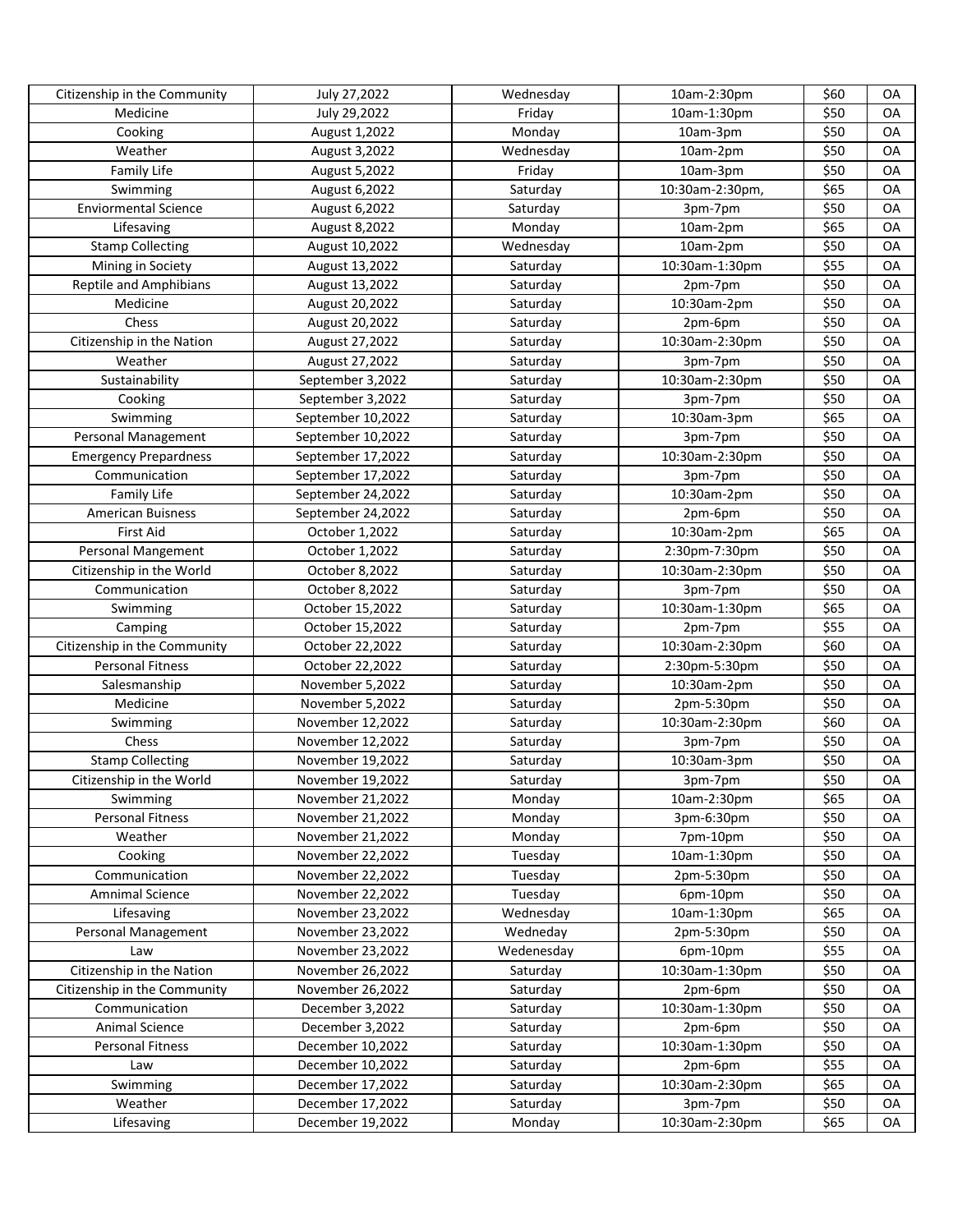| Citizenship in the Community | July 27,2022      | Wednesday  | 10am-2:30pm     | \$60 | OA |
|------------------------------|-------------------|------------|-----------------|------|----|
| Medicine                     | July 29,2022      | Friday     | 10am-1:30pm     | \$50 | OA |
| Cooking                      | August 1,2022     | Monday     | 10am-3pm        | \$50 | OA |
| Weather                      | August 3,2022     | Wednesday  | 10am-2pm        | \$50 | OA |
| Family Life                  | August 5,2022     | Friday     | 10am-3pm        | \$50 | OA |
| Swimming                     | August 6,2022     | Saturday   | 10:30am-2:30pm, | \$65 | OA |
| <b>Enviormental Science</b>  | August 6,2022     | Saturday   | 3pm-7pm         | \$50 | OA |
| Lifesaving                   | August 8,2022     | Monday     | 10am-2pm        | \$65 | OA |
| <b>Stamp Collecting</b>      | August 10,2022    | Wednesday  | 10am-2pm        | \$50 | OA |
| Mining in Society            | August 13,2022    | Saturday   | 10:30am-1:30pm  | \$55 | OA |
| Reptile and Amphibians       | August 13,2022    | Saturday   | 2pm-7pm         | \$50 | OA |
| Medicine                     | August 20,2022    | Saturday   | 10:30am-2pm     | \$50 | OA |
| Chess                        | August 20,2022    | Saturday   | 2pm-6pm         | \$50 | OA |
| Citizenship in the Nation    | August 27,2022    | Saturday   | 10:30am-2:30pm  | \$50 | OA |
| Weather                      | August 27,2022    | Saturday   | 3pm-7pm         | \$50 | OA |
| Sustainability               | September 3,2022  | Saturday   | 10:30am-2:30pm  | \$50 | OA |
| Cooking                      | September 3,2022  | Saturday   | 3pm-7pm         | \$50 | OA |
| Swimming                     | September 10,2022 | Saturday   | 10:30am-3pm     | \$65 | OA |
| Personal Management          | September 10,2022 | Saturday   | 3pm-7pm         | \$50 | OA |
| <b>Emergency Prepardness</b> | September 17,2022 | Saturday   | 10:30am-2:30pm  | \$50 | OA |
| Communication                | September 17,2022 | Saturday   | 3pm-7pm         | \$50 | OA |
| Family Life                  | September 24,2022 | Saturday   | 10:30am-2pm     | \$50 | OA |
| American Buisness            | September 24,2022 | Saturday   | 2pm-6pm         | \$50 | OA |
| <b>First Aid</b>             | October 1,2022    | Saturday   | 10:30am-2pm     | \$65 | OA |
| Personal Mangement           | October 1,2022    | Saturday   | 2:30pm-7:30pm   | \$50 | OA |
| Citizenship in the World     | October 8,2022    | Saturday   | 10:30am-2:30pm  | \$50 | OA |
| Communication                | October 8,2022    | Saturday   | 3pm-7pm         | \$50 | OA |
| Swimming                     | October 15,2022   | Saturday   | 10:30am-1:30pm  | \$65 | OA |
| Camping                      | October 15,2022   | Saturday   | 2pm-7pm         | \$55 | OA |
| Citizenship in the Community | October 22,2022   | Saturday   | 10:30am-2:30pm  | \$60 | OA |
| <b>Personal Fitness</b>      | October 22,2022   | Saturday   | 2:30pm-5:30pm   | \$50 | OA |
| Salesmanship                 | November 5,2022   | Saturday   | 10:30am-2pm     | \$50 | OA |
| Medicine                     | November 5,2022   | Saturday   | 2pm-5:30pm      | \$50 | OA |
| Swimming                     | November 12,2022  | Saturday   | 10:30am-2:30pm  | \$60 | OA |
| Chess                        | November 12,2022  | Saturday   | 3pm-7pm         | \$50 | OA |
| <b>Stamp Collecting</b>      | November 19,2022  | Saturday   | 10:30am-3pm     | \$50 | OA |
| Citizenship in the World     | November 19,2022  | Saturday   | 3pm-7pm         | \$50 | OA |
| Swimming                     | November 21,2022  | Monday     | 10am-2:30pm     | \$65 | OA |
| <b>Personal Fitness</b>      | November 21,2022  | Monday     | 3pm-6:30pm      | \$50 | OA |
| Weather                      | November 21,2022  | Monday     | 7pm-10pm        | \$50 | OA |
| Cooking                      | November 22,2022  | Tuesday    | 10am-1:30pm     | \$50 | OA |
| Communication                | November 22,2022  | Tuesday    | 2pm-5:30pm      | \$50 | OA |
| Amnimal Science              | November 22,2022  | Tuesday    | 6pm-10pm        | \$50 | OA |
| Lifesaving                   | November 23,2022  | Wednesday  | 10am-1:30pm     | \$65 | OA |
| Personal Management          | November 23,2022  | Wedneday   | 2pm-5:30pm      | \$50 | OA |
| Law                          | November 23,2022  | Wedenesday | 6pm-10pm        | \$55 | OA |
| Citizenship in the Nation    | November 26,2022  | Saturday   | 10:30am-1:30pm  | \$50 | OA |
| Citizenship in the Community | November 26,2022  | Saturday   | 2pm-6pm         | \$50 | OA |
| Communication                | December 3,2022   | Saturday   | 10:30am-1:30pm  | \$50 | OA |
| Animal Science               | December 3,2022   | Saturday   | 2pm-6pm         | \$50 | OA |
| <b>Personal Fitness</b>      | December 10,2022  | Saturday   | 10:30am-1:30pm  | \$50 | OA |
| Law                          | December 10,2022  | Saturday   | 2pm-6pm         | \$55 | OA |
| Swimming                     | December 17,2022  | Saturday   | 10:30am-2:30pm  | \$65 | OA |
| Weather                      | December 17,2022  | Saturday   | 3pm-7pm         | \$50 | OA |
| Lifesaving                   | December 19,2022  | Monday     | 10:30am-2:30pm  | \$65 | OA |